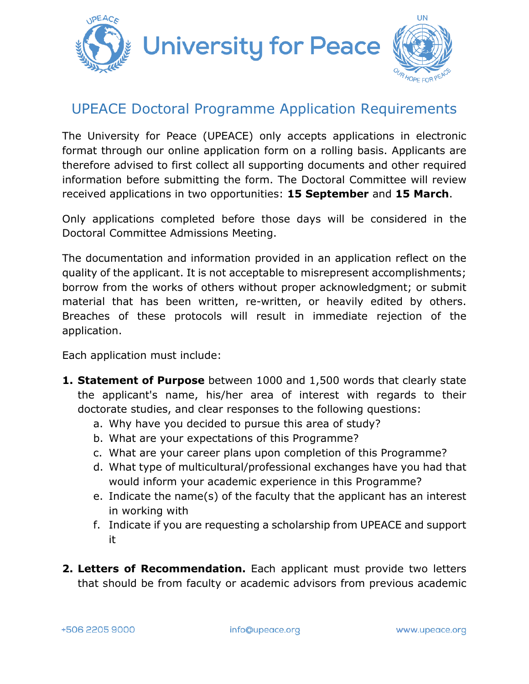

# UPEACE Doctoral Programme Application Requirements

The University for Peace (UPEACE) only accepts applications in electronic format through our online application form on a rolling basis. Applicants are therefore advised to first collect all supporting documents and other required information before submitting the form. The Doctoral Committee will review received applications in two opportunities: **15 September** and **15 March**.

Only applications completed before those days will be considered in the Doctoral Committee Admissions Meeting.

The documentation and information provided in an application reflect on the quality of the applicant. It is not acceptable to misrepresent accomplishments; borrow from the works of others without proper acknowledgment; or submit material that has been written, re-written, or heavily edited by others. Breaches of these protocols will result in immediate rejection of the application.

Each application must include:

- **1. Statement of Purpose** between 1000 and 1,500 words that clearly state the applicant's name, his/her area of interest with regards to their doctorate studies, and clear responses to the following questions:
	- a. Why have you decided to pursue this area of study?
	- b. What are your expectations of this Programme?
	- c. What are your career plans upon completion of this Programme?
	- d. What type of multicultural/professional exchanges have you had that would inform your academic experience in this Programme?
	- e. Indicate the name(s) of the faculty that the applicant has an interest in working with
	- f. Indicate if you are requesting a scholarship from UPEACE and support it
- **2. Letters of Recommendation.** Each applicant must provide two letters that should be from faculty or academic advisors from previous academic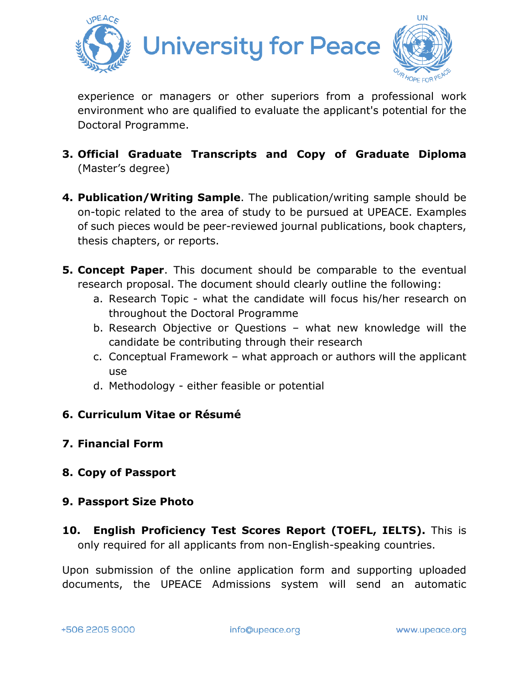

experience or managers or other superiors from a professional work environment who are qualified to evaluate the applicant's potential for the Doctoral Programme.

- **3. Official Graduate Transcripts and Copy of Graduate Diploma** (Master's degree)
- **4. Publication/Writing Sample**. The publication/writing sample should be on-topic related to the area of study to be pursued at UPEACE. Examples of such pieces would be peer-reviewed journal publications, book chapters, thesis chapters, or reports.
- **5. Concept Paper**. This document should be comparable to the eventual research proposal. The document should clearly outline the following:
	- a. Research Topic what the candidate will focus his/her research on throughout the Doctoral Programme
	- b. Research Objective or Questions what new knowledge will the candidate be contributing through their research
	- c. Conceptual Framework what approach or authors will the applicant use
	- d. Methodology either feasible or potential

## **6. Curriculum Vitae or Résumé**

## **7. Financial Form**

## **8. Copy of Passport**

### **9. Passport Size Photo**

**10. English Proficiency Test Scores Report (TOEFL, IELTS).** This is only required for all applicants from non-English-speaking countries.

Upon submission of the online application form and supporting uploaded documents, the UPEACE Admissions system will send an automatic